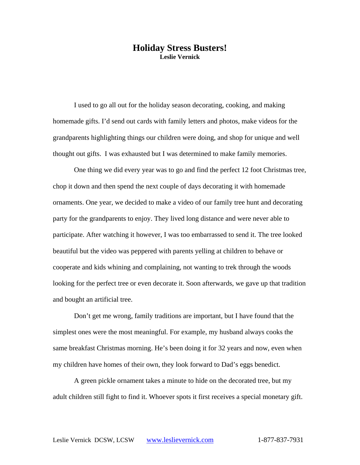# **Holiday Stress Busters! Leslie Vernick**

I used to go all out for the holiday season decorating, cooking, and making homemade gifts. I'd send out cards with family letters and photos, make videos for the grandparents highlighting things our children were doing, and shop for unique and well thought out gifts. I was exhausted but I was determined to make family memories.

One thing we did every year was to go and find the perfect 12 foot Christmas tree, chop it down and then spend the next couple of days decorating it with homemade ornaments. One year, we decided to make a video of our family tree hunt and decorating party for the grandparents to enjoy. They lived long distance and were never able to participate. After watching it however, I was too embarrassed to send it. The tree looked beautiful but the video was peppered with parents yelling at children to behave or cooperate and kids whining and complaining, not wanting to trek through the woods looking for the perfect tree or even decorate it. Soon afterwards, we gave up that tradition and bought an artificial tree.

 Don't get me wrong, family traditions are important, but I have found that the simplest ones were the most meaningful. For example, my husband always cooks the same breakfast Christmas morning. He's been doing it for 32 years and now, even when my children have homes of their own, they look forward to Dad's eggs benedict.

 A green pickle ornament takes a minute to hide on the decorated tree, but my adult children still fight to find it. Whoever spots it first receives a special monetary gift.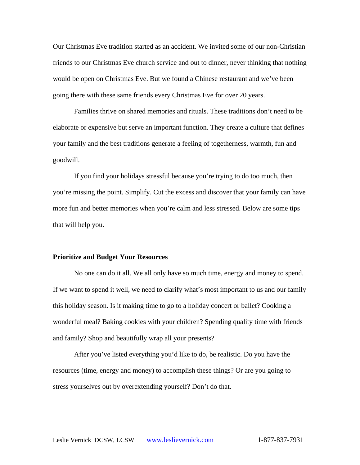Our Christmas Eve tradition started as an accident. We invited some of our non-Christian friends to our Christmas Eve church service and out to dinner, never thinking that nothing would be open on Christmas Eve. But we found a Chinese restaurant and we've been going there with these same friends every Christmas Eve for over 20 years.

 Families thrive on shared memories and rituals. These traditions don't need to be elaborate or expensive but serve an important function. They create a culture that defines your family and the best traditions generate a feeling of togetherness, warmth, fun and goodwill.

If you find your holidays stressful because you're trying to do too much, then you're missing the point. Simplify. Cut the excess and discover that your family can have more fun and better memories when you're calm and less stressed. Below are some tips that will help you.

#### **Prioritize and Budget Your Resources**

No one can do it all. We all only have so much time, energy and money to spend. If we want to spend it well, we need to clarify what's most important to us and our family this holiday season. Is it making time to go to a holiday concert or ballet? Cooking a wonderful meal? Baking cookies with your children? Spending quality time with friends and family? Shop and beautifully wrap all your presents?

After you've listed everything you'd like to do, be realistic. Do you have the resources (time, energy and money) to accomplish these things? Or are you going to stress yourselves out by overextending yourself? Don't do that.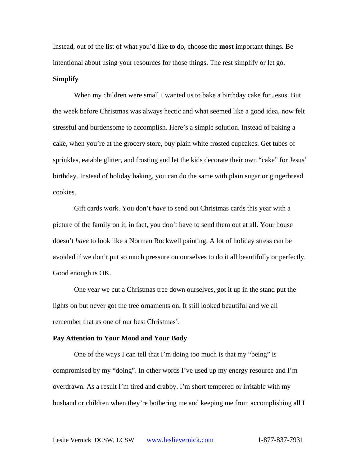Instead, out of the list of what you'd like to do, choose the **most** important things. Be intentional about using your resources for those things. The rest simplify or let go.

## **Simplify**

When my children were small I wanted us to bake a birthday cake for Jesus. But the week before Christmas was always hectic and what seemed like a good idea, now felt stressful and burdensome to accomplish. Here's a simple solution. Instead of baking a cake, when you're at the grocery store, buy plain white frosted cupcakes. Get tubes of sprinkles, eatable glitter, and frosting and let the kids decorate their own "cake" for Jesus' birthday. Instead of holiday baking, you can do the same with plain sugar or gingerbread cookies.

Gift cards work. You don't *have* to send out Christmas cards this year with a picture of the family on it, in fact, you don't have to send them out at all. Your house doesn't *have* to look like a Norman Rockwell painting. A lot of holiday stress can be avoided if we don't put so much pressure on ourselves to do it all beautifully or perfectly. Good enough is OK.

One year we cut a Christmas tree down ourselves, got it up in the stand put the lights on but never got the tree ornaments on. It still looked beautiful and we all remember that as one of our best Christmas'.

#### **Pay Attention to Your Mood and Your Body**

One of the ways I can tell that I'm doing too much is that my "being" is compromised by my "doing". In other words I've used up my energy resource and I'm overdrawn. As a result I'm tired and crabby. I'm short tempered or irritable with my husband or children when they're bothering me and keeping me from accomplishing all I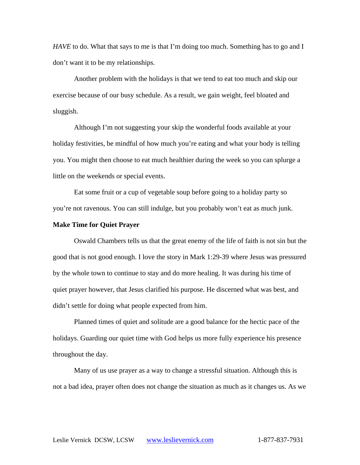*HAVE* to do. What that says to me is that I'm doing too much. Something has to go and I don't want it to be my relationships.

Another problem with the holidays is that we tend to eat too much and skip our exercise because of our busy schedule. As a result, we gain weight, feel bloated and sluggish.

Although I'm not suggesting your skip the wonderful foods available at your holiday festivities, be mindful of how much you're eating and what your body is telling you. You might then choose to eat much healthier during the week so you can splurge a little on the weekends or special events.

Eat some fruit or a cup of vegetable soup before going to a holiday party so you're not ravenous. You can still indulge, but you probably won't eat as much junk.

## **Make Time for Quiet Prayer**

Oswald Chambers tells us that the great enemy of the life of faith is not sin but the good that is not good enough. I love the story in Mark 1:29-39 where Jesus was pressured by the whole town to continue to stay and do more healing. It was during his time of quiet prayer however, that Jesus clarified his purpose. He discerned what was best, and didn't settle for doing what people expected from him.

Planned times of quiet and solitude are a good balance for the hectic pace of the holidays. Guarding our quiet time with God helps us more fully experience his presence throughout the day.

Many of us use prayer as a way to change a stressful situation. Although this is not a bad idea, prayer often does not change the situation as much as it changes us. As we